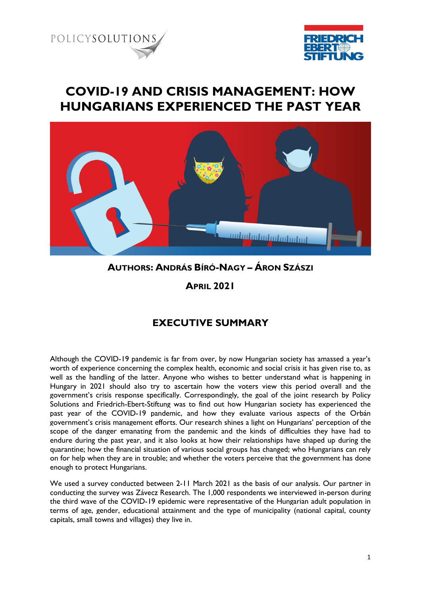



# **COVID-19 AND CRISIS MANAGEMENT: HOW HUNGARIANS EXPERIENCED THE PAST YEAR**



## **AUTHORS: ANDRÁS BÍRÓ-NAGY – ÁRON SZÁSZI**

**APRIL 2021**

## **EXECUTIVE SUMMARY**

Although the COVID-19 pandemic is far from over, by now Hungarian society has amassed a year's worth of experience concerning the complex health, economic and social crisis it has given rise to, as well as the handling of the latter. Anyone who wishes to better understand what is happening in Hungary in 2021 should also try to ascertain how the voters view this period overall and the government's crisis response specifically. Correspondingly, the goal of the joint research by Policy Solutions and Friedrich-Ebert-Stiftung was to find out how Hungarian society has experienced the past year of the COVID-19 pandemic, and how they evaluate various aspects of the Orbán government's crisis management efforts. Our research shines a light on Hungarians' perception of the scope of the danger emanating from the pandemic and the kinds of difficulties they have had to endure during the past year, and it also looks at how their relationships have shaped up during the quarantine; how the financial situation of various social groups has changed; who Hungarians can rely on for help when they are in trouble; and whether the voters perceive that the government has done enough to protect Hungarians.

We used a survey conducted between 2-11 March 2021 as the basis of our analysis. Our partner in conducting the survey was Závecz Research. The 1,000 respondents we interviewed in-person during the third wave of the COVID-19 epidemic were representative of the Hungarian adult population in terms of age, gender, educational attainment and the type of municipality (national capital, county capitals, small towns and villages) they live in.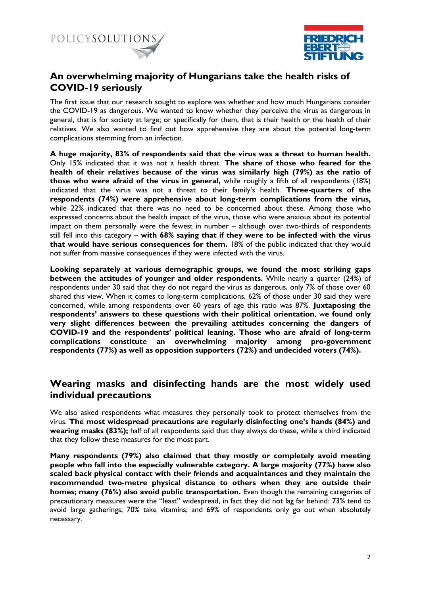



#### **An overwhelming majority of Hungarians take the health risks of COVID-19 seriously**

The first issue that our research sought to explore was whether and how much Hungarians consider the COVID-19 as dangerous. We wanted to know whether they perceive the virus as dangerous in general, that is for society at large; or specifically for them, that is their health or the health of their relatives. We also wanted to find out how apprehensive they are about the potential long-term complications stemming from an infection.

**A huge majority, 83% of respondents said that the virus was a threat to human health.**  Only 15% indicated that it was not a health threat. **The share of those who feared for the health of their relatives because of the virus was similarly high (79%) as the ratio of those who were afraid of the virus in general,** while roughly a fifth of all respondents (18%) indicated that the virus was not a threat to their family's health. **Three-quarters of the respondents (74%) were apprehensive about long-term complications from the virus,**  while 22% indicated that there was no need to be concerned about these. Among those who expressed concerns about the health impact of the virus, those who were anxious about its potential impact on them personally were the fewest in number – although over two-thirds of respondents still fell into this category – **with 68% saying that if they were to be infected with the virus that would have serious consequences for them.** 18% of the public indicated that they would not suffer from massive consequences if they were infected with the virus.

**Looking separately at various demographic groups, we found the most striking gaps between the attitudes of younger and older respondents.** While nearly a quarter (24%) of respondents under 30 said that they do not regard the virus as dangerous, only 7% of those over 60 shared this view. When it comes to long-term complications, 62% of those under 30 said they were concerned, while among respondents over 60 years of age this ratio was 87%. **Juxtaposing the respondents' answers to these questions with their political orientation**, w**e found only very slight differences between the prevailing attitudes concerning the dangers of COVID-19 and the respondents' political leaning. Those who are afraid of long-term complications constitute an overwhelming majority among pro-government respondents (77%) as well as opposition supporters (72%) and undecided voters (74%).** 

#### **Wearing masks and disinfecting hands are the most widely used individual precautions**

We also asked respondents what measures they personally took to protect themselves from the virus. **The most widespread precautions are regularly disinfecting one's hands (84%) and wearing masks (83%);** half of all respondents said that they always do these, while a third indicated that they follow these measures for the most part.

**Many respondents (79%) also claimed that they mostly or completely avoid meeting people who fall into the especially vulnerable category. A large majority (77%) have also scaled back physical contact with their friends and acquaintances and they maintain the recommended two-metre physical distance to others when they are outside their homes; many (76%) also avoid public transportation.** Even though the remaining categories of precautionary measures were the "least" widespread, in fact they did not lag far behind: 73% tend to avoid large gatherings; 70% take vitamins; and 69% of respondents only go out when absolutely necessary.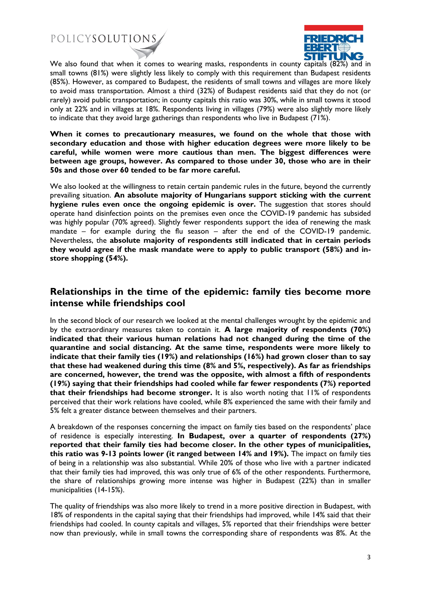

We also found that when it comes to wearing masks, respondents in county capitals (82%) and in small towns (81%) were slightly less likely to comply with this requirement than Budapest residents (85%). However, as compared to Budapest, the residents of small towns and villages are more likely to avoid mass transportation. Almost a third (32%) of Budapest residents said that they do not (or rarely) avoid public transportation; in county capitals this ratio was 30%, while in small towns it stood only at 22% and in villages at 18%. Respondents living in villages (79%) were also slightly more likely to indicate that they avoid large gatherings than respondents who live in Budapest (71%).

**When it comes to precautionary measures, we found on the whole that those with secondary education and those with higher education degrees were more likely to be careful, while women were more cautious than men. The biggest differences were between age groups, however. As compared to those under 30, those who are in their 50s and those over 60 tended to be far more careful.** 

We also looked at the willingness to retain certain pandemic rules in the future, beyond the currently prevailing situation. **An absolute majority of Hungarians support sticking with the current hygiene rules even once the ongoing epidemic is over.** The suggestion that stores should operate hand disinfection points on the premises even once the COVID-19 pandemic has subsided was highly popular (70% agreed). Slightly fewer respondents support the idea of renewing the mask mandate – for example during the flu season – after the end of the COVID-19 pandemic. Nevertheless, the **absolute majority of respondents still indicated that in certain periods they would agree if the mask mandate were to apply to public transport (58%) and instore shopping (54%).** 

#### **Relationships in the time of the epidemic: family ties become more intense while friendships cool**

In the second block of our research we looked at the mental challenges wrought by the epidemic and by the extraordinary measures taken to contain it. **A large majority of respondents (70%) indicated that their various human relations had not changed during the time of the quarantine and social distancing. At the same time, respondents were more likely to indicate that their family ties (19%) and relationships (16%) had grown closer than to say that these had weakened during this time (8% and 5%, respectively). As far as friendships are concerned, however, the trend was the opposite, with almost a fifth of respondents (19%) saying that their friendships had cooled while far fewer respondents (7%) reported that their friendships had become stronger.** It is also worth noting that 11% of respondents perceived that their work relations have cooled, while 8% experienced the same with their family and 5% felt a greater distance between themselves and their partners.

A breakdown of the responses concerning the impact on family ties based on the respondents' place of residence is especially interesting. **In Budapest, over a quarter of respondents (27%) reported that their family ties had become closer. In the other types of municipalities, this ratio was 9-13 points lower (it ranged between 14% and 19%).** The impact on family ties of being in a relationship was also substantial. While 20% of those who live with a partner indicated that their family ties had improved, this was only true of 6% of the other respondents. Furthermore, the share of relationships growing more intense was higher in Budapest (22%) than in smaller municipalities (14-15%).

The quality of friendships was also more likely to trend in a more positive direction in Budapest, with 18% of respondents in the capital saying that their friendships had improved, while 14% said that their friendships had cooled. In county capitals and villages, 5% reported that their friendships were better now than previously, while in small towns the corresponding share of respondents was 8%. At the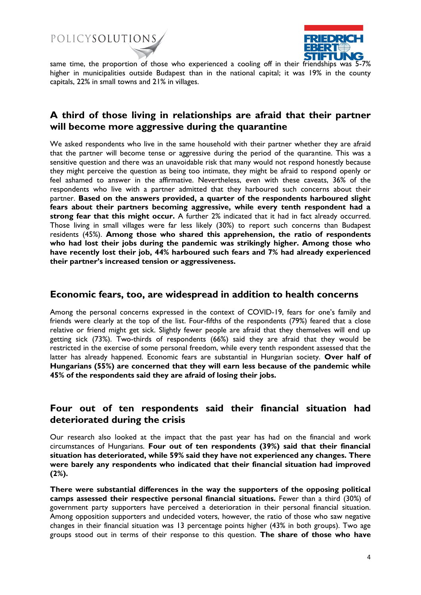



same time, the proportion of those who experienced a cooling off in their friendships was 5-7% higher in municipalities outside Budapest than in the national capital; it was 19% in the county capitals, 22% in small towns and 21% in villages.

#### **A third of those living in relationships are afraid that their partner will become more aggressive during the quarantine**

We asked respondents who live in the same household with their partner whether they are afraid that the partner will become tense or aggressive during the period of the quarantine. This was a sensitive question and there was an unavoidable risk that many would not respond honestly because they might perceive the question as being too intimate, they might be afraid to respond openly or feel ashamed to answer in the affirmative. Nevertheless, even with these caveats, 36% of the respondents who live with a partner admitted that they harboured such concerns about their partner. **Based on the answers provided, a quarter of the respondents harboured slight fears about their partners becoming aggressive, while every tenth respondent had a strong fear that this might occur.** A further 2% indicated that it had in fact already occurred. Those living in small villages were far less likely (30%) to report such concerns than Budapest residents (45%). **Among those who shared this apprehension, the ratio of respondents who had lost their jobs during the pandemic was strikingly higher. Among those who have recently lost their job, 44% harboured such fears and 7% had already experienced their partner's increased tension or aggressiveness.** 

#### **Economic fears, too, are widespread in addition to health concerns**

Among the personal concerns expressed in the context of COVID-19, fears for one's family and friends were clearly at the top of the list. Four-fifths of the respondents (79%) feared that a close relative or friend might get sick. Slightly fewer people are afraid that they themselves will end up getting sick (73%). Two-thirds of respondents (66%) said they are afraid that they would be restricted in the exercise of some personal freedom, while every tenth respondent assessed that the latter has already happened. Economic fears are substantial in Hungarian society. **Over half of Hungarians (55%) are concerned that they will earn less because of the pandemic while 45% of the respondents said they are afraid of losing their jobs.** 

#### **Four out of ten respondents said their financial situation had deteriorated during the crisis**

Our research also looked at the impact that the past year has had on the financial and work circumstances of Hungarians. **Four out of ten respondents (39%) said that their financial situation has deteriorated, while 59% said they have not experienced any changes. There were barely any respondents who indicated that their financial situation had improved (2%).**

**There were substantial differences in the way the supporters of the opposing political camps assessed their respective personal financial situations.** Fewer than a third (30%) of government party supporters have perceived a deterioration in their personal financial situation. Among opposition supporters and undecided voters, however, the ratio of those who saw negative changes in their financial situation was 13 percentage points higher (43% in both groups). Two age groups stood out in terms of their response to this question. **The share of those who have**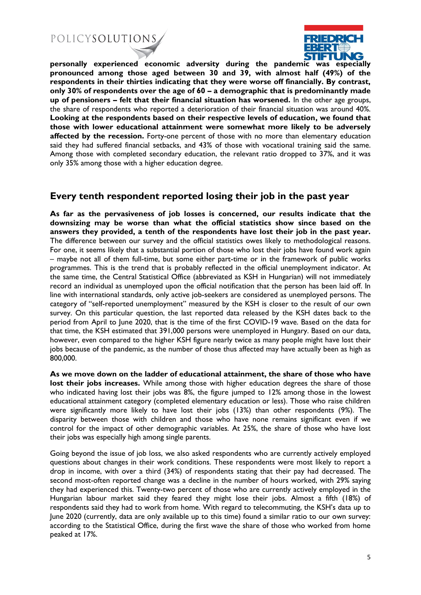

 **personally experienced economic adversity during the pandemic was especially pronounced among those aged between 30 and 39, with almost half (49%) of the respondents in their thirties indicating that they were worse off financially. By contrast, only 30% of respondents over the age of 60 – a demographic that is predominantly made up of pensioners – felt that their financial situation has worsened.** In the other age groups, the share of respondents who reported a deterioration of their financial situation was around 40%. **Looking at the respondents based on their respective levels of education, we found that those with lower educational attainment were somewhat more likely to be adversely affected by the recession.** Forty-one percent of those with no more than elementary education said they had suffered financial setbacks, and 43% of those with vocational training said the same. Among those with completed secondary education, the relevant ratio dropped to 37%, and it was only 35% among those with a higher education degree.

#### **Every tenth respondent reported losing their job in the past year**

**As far as the pervasiveness of job losses is concerned, our results indicate that the downsizing may be worse than what the official statistics show since based on the answers they provided, a tenth of the respondents have lost their job in the past year.**  The difference between our survey and the official statistics owes likely to methodological reasons. For one, it seems likely that a substantial portion of those who lost their jobs have found work again – maybe not all of them full-time, but some either part-time or in the framework of public works programmes. This is the trend that is probably reflected in the official unemployment indicator. At the same time, the Central Statistical Office (abbreviated as KSH in Hungarian) will not immediately record an individual as unemployed upon the official notification that the person has been laid off. In line with international standards, only active job-seekers are considered as unemployed persons. The category of "self-reported unemployment" measured by the KSH is closer to the result of our own survey. On this particular question, the last reported data released by the KSH dates back to the period from April to June 2020, that is the time of the first COVID-19 wave. Based on the data for that time, the KSH estimated that 391,000 persons were unemployed in Hungary. Based on our data, however, even compared to the higher KSH figure nearly twice as many people might have lost their jobs because of the pandemic, as the number of those thus affected may have actually been as high as 800,000.

**As we move down on the ladder of educational attainment, the share of those who have lost their jobs increases.** While among those with higher education degrees the share of those who indicated having lost their jobs was 8%, the figure jumped to 12% among those in the lowest educational attainment category (completed elementary education or less). Those who raise children were significantly more likely to have lost their jobs (13%) than other respondents (9%). The disparity between those with children and those who have none remains significant even if we control for the impact of other demographic variables. At 25%, the share of those who have lost their jobs was especially high among single parents.

Going beyond the issue of job loss, we also asked respondents who are currently actively employed questions about changes in their work conditions. These respondents were most likely to report a drop in income, with over a third (34%) of respondents stating that their pay had decreased. The second most-often reported change was a decline in the number of hours worked, with 29% saying they had experienced this. Twenty-two percent of those who are currently actively employed in the Hungarian labour market said they feared they might lose their jobs. Almost a fifth (18%) of respondents said they had to work from home. With regard to telecommuting, the KSH's data up to June 2020 (currently, data are only available up to this time) found a similar ratio to our own survey: according to the Statistical Office, during the first wave the share of those who worked from home peaked at 17%.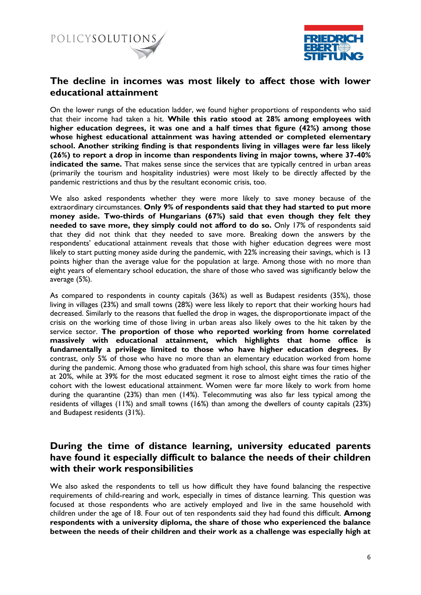



#### **The decline in incomes was most likely to affect those with lower educational attainment**

On the lower rungs of the education ladder, we found higher proportions of respondents who said that their income had taken a hit. **While this ratio stood at 28% among employees with higher education degrees, it was one and a half times that figure (42%) among those whose highest educational attainment was having attended or completed elementary school. Another striking finding is that respondents living in villages were far less likely (26%) to report a drop in income than respondents living in major towns, where 37-40% indicated the same.** That makes sense since the services that are typically centred in urban areas (primarily the tourism and hospitality industries) were most likely to be directly affected by the pandemic restrictions and thus by the resultant economic crisis, too.

We also asked respondents whether they were more likely to save money because of the extraordinary circumstances. **Only 9% of respondents said that they had started to put more money aside. Two-thirds of Hungarians (67%) said that even though they felt they needed to save more, they simply could not afford to do so.** Only 17% of respondents said that they did not think that they needed to save more. Breaking down the answers by the respondents' educational attainment reveals that those with higher education degrees were most likely to start putting money aside during the pandemic, with 22% increasing their savings, which is 13 points higher than the average value for the population at large. Among those with no more than eight years of elementary school education, the share of those who saved was significantly below the average (5%).

As compared to respondents in county capitals (36%) as well as Budapest residents (35%), those living in villages (23%) and small towns (28%) were less likely to report that their working hours had decreased. Similarly to the reasons that fuelled the drop in wages, the disproportionate impact of the crisis on the working time of those living in urban areas also likely owes to the hit taken by the service sector. **The proportion of those who reported working from home correlated massively with educational attainment, which highlights that home office is fundamentally a privilege limited to those who have higher education degrees.** By contrast, only 5% of those who have no more than an elementary education worked from home during the pandemic. Among those who graduated from high school, this share was four times higher at 20%, while at 39% for the most educated segment it rose to almost eight times the ratio of the cohort with the lowest educational attainment. Women were far more likely to work from home during the quarantine (23%) than men (14%). Telecommuting was also far less typical among the residents of villages (11%) and small towns (16%) than among the dwellers of county capitals (23%) and Budapest residents (31%).

#### **During the time of distance learning, university educated parents have found it especially difficult to balance the needs of their children with their work responsibilities**

We also asked the respondents to tell us how difficult they have found balancing the respective requirements of child-rearing and work, especially in times of distance learning. This question was focused at those respondents who are actively employed and live in the same household with children under the age of 18. Four out of ten respondents said they had found this difficult. **Among respondents with a university diploma, the share of those who experienced the balance between the needs of their children and their work as a challenge was especially high at**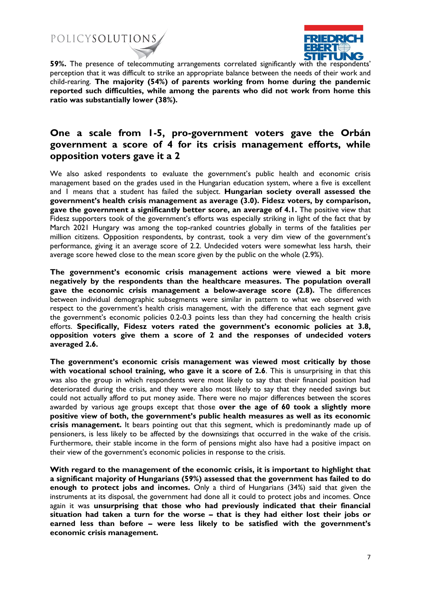

**59%.** The presence of telecommuting arrangements correlated significantly with the respondents' perception that it was difficult to strike an appropriate balance between the needs of their work and child-rearing. **The majority (54%) of parents working from home during the pandemic reported such difficulties, while among the parents who did not work from home this ratio was substantially lower (38%).** 

#### **One a scale from 1-5, pro-government voters gave the Orbán government a score of 4 for its crisis management efforts, while opposition voters gave it a 2**

We also asked respondents to evaluate the government's public health and economic crisis management based on the grades used in the Hungarian education system, where a five is excellent and 1 means that a student has failed the subject. **Hungarian society overall assessed the government's health crisis management as average (3.0). Fidesz voters, by comparison, gave the government a significantly better score, an average of 4.1.** The positive view that Fidesz supporters took of the government's efforts was especially striking in light of the fact that by March 2021 Hungary was among the top-ranked countries globally in terms of the fatalities per million citizens. Opposition respondents, by contrast, took a very dim view of the government's performance, giving it an average score of 2.2. Undecided voters were somewhat less harsh, their average score hewed close to the mean score given by the public on the whole (2.9%).

**The government's economic crisis management actions were viewed a bit more negatively by the respondents than the healthcare measures. The population overall gave the economic crisis management a below-average score (2.8).** The differences between individual demographic subsegments were similar in pattern to what we observed with respect to the government's health crisis management, with the difference that each segment gave the government's economic policies 0.2-0.3 points less than they had concerning the health crisis efforts. **Specifically, Fidesz voters rated the government's economic policies at 3.8, opposition voters give them a score of 2 and the responses of undecided voters averaged 2.6.** 

**The government's economic crisis management was viewed most critically by those with vocational school training, who gave it a score of 2.6**. This is unsurprising in that this was also the group in which respondents were most likely to say that their financial position had deteriorated during the crisis, and they were also most likely to say that they needed savings but could not actually afford to put money aside. There were no major differences between the scores awarded by various age groups except that those **over the age of 60 took a slightly more positive view of both, the government's public health measures as well as its economic crisis management.** It bears pointing out that this segment, which is predominantly made up of pensioners, is less likely to be affected by the downsizings that occurred in the wake of the crisis. Furthermore, their stable income in the form of pensions might also have had a positive impact on their view of the government's economic policies in response to the crisis.

**With regard to the management of the economic crisis, it is important to highlight that a significant majority of Hungarians (59%) assessed that the government has failed to do enough to protect jobs and incomes.** Only a third of Hungarians (34%) said that given the instruments at its disposal, the government had done all it could to protect jobs and incomes. Once again it was **unsurprising that those who had previously indicated that their financial situation had taken a turn for the worse – that is they had either lost their jobs or earned less than before – were less likely to be satisfied with the government's economic crisis management.**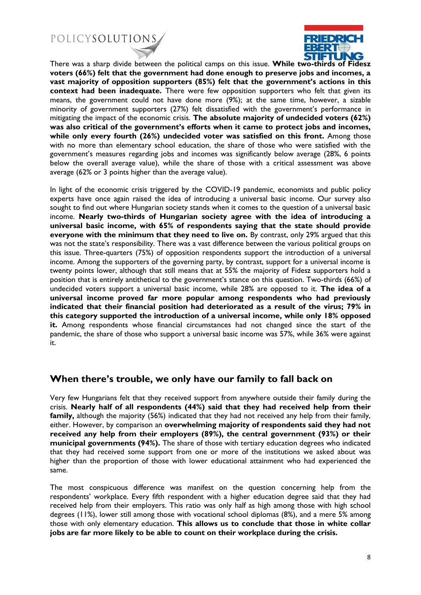

 There was a sharp divide between the political camps on this issue. **While two-thirds of Fidesz voters (66%) felt that the government had done enough to preserve jobs and incomes, a vast majority of opposition supporters (85%) felt that the government's actions in this context had been inadequate.** There were few opposition supporters who felt that given its means, the government could not have done more (9%); at the same time, however, a sizable minority of government supporters (27%) felt dissatisfied with the government's performance in mitigating the impact of the economic crisis. **The absolute majority of undecided voters (62%) was also critical of the government's efforts when it came to protect jobs and incomes, while only every fourth (26%) undecided voter was satisfied on this front.** Among those with no more than elementary school education, the share of those who were satisfied with the government's measures regarding jobs and incomes was significantly below average (28%, 6 points below the overall average value), while the share of those with a critical assessment was above average (62% or 3 points higher than the average value).

In light of the economic crisis triggered by the COVID-19 pandemic, economists and public policy experts have once again raised the idea of introducing a universal basic income. Our survey also sought to find out where Hungarian society stands when it comes to the question of a universal basic income. **Nearly two-thirds of Hungarian society agree with the idea of introducing a universal basic income, with 65% of respondents saying that the state should provide everyone with the minimum that they need to live on.** By contrast, only 29% argued that this was not the state's responsibility. There was a vast difference between the various political groups on this issue. Three-quarters (75%) of opposition respondents support the introduction of a universal income. Among the supporters of the governing party, by contrast, support for a universal income is twenty points lower, although that still means that at 55% the majority of Fidesz supporters hold a position that is entirely antithetical to the government's stance on this question. Two-thirds (66%) of undecided voters support a universal basic income, while 28% are opposed to it. **The idea of a universal income proved far more popular among respondents who had previously indicated that their financial position had deteriorated as a result of the virus; 79% in this category supported the introduction of a universal income, while only 18% opposed it.** Among respondents whose financial circumstances had not changed since the start of the pandemic, the share of those who support a universal basic income was 57%, while 36% were against it.

#### **When there's trouble, we only have our family to fall back on**

Very few Hungarians felt that they received support from anywhere outside their family during the crisis. **Nearly half of all respondents (44%) said that they had received help from their family,** although the majority (56%) indicated that they had not received any help from their family, either. However, by comparison an **overwhelming majority of respondents said they had not received any help from their employers (89%), the central government (93%) or their municipal governments (94%).** The share of those with tertiary education degrees who indicated that they had received some support from one or more of the institutions we asked about was higher than the proportion of those with lower educational attainment who had experienced the same.

The most conspicuous difference was manifest on the question concerning help from the respondents' workplace. Every fifth respondent with a higher education degree said that they had received help from their employers. This ratio was only half as high among those with high school degrees (11%), lower still among those with vocational school diplomas (8%), and a mere 5% among those with only elementary education. **This allows us to conclude that those in white collar jobs are far more likely to be able to count on their workplace during the crisis.**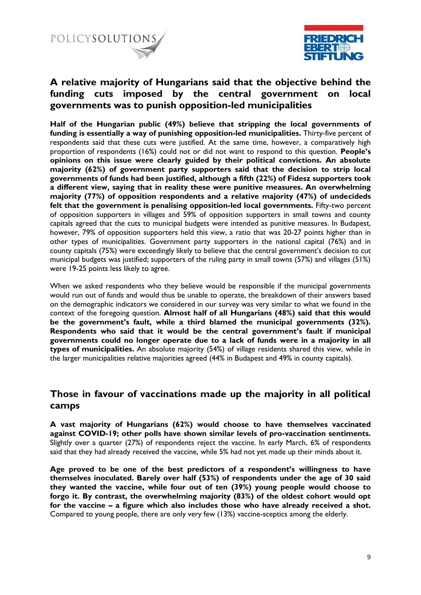



### **A relative majority of Hungarians said that the objective behind the funding cuts imposed by the central government on local governments was to punish opposition-led municipalities**

**Half of the Hungarian public (49%) believe that stripping the local governments of funding is essentially a way of punishing opposition-led municipalities.** Thirty-five percent of respondents said that these cuts were justified. At the same time, however, a comparatively high proportion of respondents (16%) could not or did not want to respond to this question. **People's opinions on this issue were clearly guided by their political convictions. An absolute majority (62%) of government party supporters said that the decision to strip local governments of funds had been justified, although a fifth (22%) of Fidesz supporters took a different view, saying that in reality these were punitive measures. An overwhelming majority (77%) of opposition respondents and a relative majority (47%) of undecideds felt that the government is penalising opposition-led local governments.** Fifty-two percent of opposition supporters in villages and 59% of opposition supporters in small towns and county capitals agreed that the cuts to municipal budgets were intended as punitive measures. In Budapest, however, 79% of opposition supporters held this view, a ratio that was 20-27 points higher than in other types of municipalities. Government party supporters in the national capital (76%) and in county capitals (75%) were exceedingly likely to believe that the central government's decision to cut municipal budgets was justified; supporters of the ruling party in small towns (57%) and villages (51%) were 19-25 points less likely to agree.

When we asked respondents who they believe would be responsible if the municipal governments would run out of funds and would thus be unable to operate, the breakdown of their answers based on the demographic indicators we considered in our survey was very similar to what we found in the context of the foregoing question. **Almost half of all Hungarians (48%) said that this would be the government's fault, while a third blamed the municipal governments (32%). Respondents who said that it would be the central government's fault if municipal governments could no longer operate due to a lack of funds were in a majority in all types of municipalities.** An absolute majority (54%) of village residents shared this view, while in the larger municipalities relative majorities agreed (44% in Budapest and 49% in county capitals).

#### **Those in favour of vaccinations made up the majority in all political camps**

**A vast majority of Hungarians (62%) would choose to have themselves vaccinated against COVID-19; other polls have shown similar levels of pro-vaccination sentiments.**  Slightly over a quarter (27%) of respondents reject the vaccine. In early March, 6% of respondents said that they had already received the vaccine, while 5% had not yet made up their minds about it.

**Age proved to be one of the best predictors of a respondent's willingness to have themselves inoculated. Barely over half (53%) of respondents under the age of 30 said they wanted the vaccine, while four out of ten (39%) young people would choose to forgo it. By contrast, the overwhelming majority (83%) of the oldest cohort would opt for the vaccine – a figure which also includes those who have already received a shot.**  Compared to young people, there are only very few (13%) vaccine-sceptics among the elderly.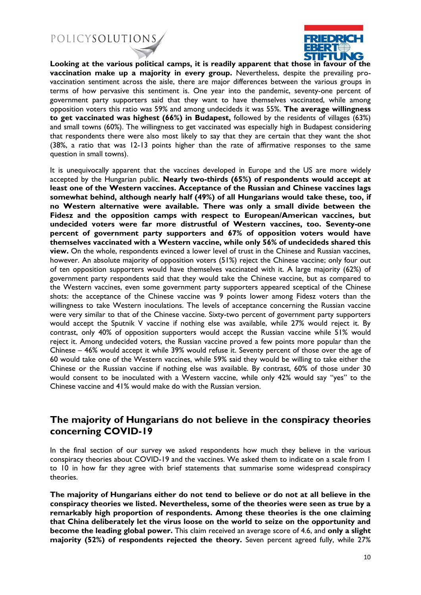

 **Looking at the various political camps, it is readily apparent that those in favour of the vaccination make up a majority in every group.** Nevertheless, despite the prevailing provaccination sentiment across the aisle, there are major differences between the various groups in terms of how pervasive this sentiment is. One year into the pandemic, seventy-one percent of government party supporters said that they want to have themselves vaccinated, while among opposition voters this ratio was 59% and among undecideds it was 55%. **The average willingness to get vaccinated was highest (66%) in Budapest,** followed by the residents of villages (63%) and small towns (60%). The willingness to get vaccinated was especially high in Budapest considering that respondents there were also most likely to say that they are certain that they want the shot (38%, a ratio that was 12-13 points higher than the rate of affirmative responses to the same question in small towns).

It is unequivocally apparent that the vaccines developed in Europe and the US are more widely accepted by the Hungarian public. **Nearly two-thirds (65%) of respondents would accept at least one of the Western vaccines. Acceptance of the Russian and Chinese vaccines lags somewhat behind, although nearly half (49%) of all Hungarians would take these, too, if no Western alternative were available. There was only a small divide between the Fidesz and the opposition camps with respect to European/American vaccines, but undecided voters were far more distrustful of Western vaccines, too. Seventy-one percent of government party supporters and 67% of opposition voters would have themselves vaccinated with a Western vaccine, while only 56% of undecideds shared this view.** On the whole, respondents evinced a lower level of trust in the Chinese and Russian vaccines, however. An absolute majority of opposition voters (51%) reject the Chinese vaccine; only four out of ten opposition supporters would have themselves vaccinated with it. A large majority (62%) of government party respondents said that they would take the Chinese vaccine, but as compared to the Western vaccines, even some government party supporters appeared sceptical of the Chinese shots: the acceptance of the Chinese vaccine was 9 points lower among Fidesz voters than the willingness to take Western inoculations. The levels of acceptance concerning the Russian vaccine were very similar to that of the Chinese vaccine. Sixty-two percent of government party supporters would accept the Sputnik V vaccine if nothing else was available, while 27% would reject it. By contrast, only 40% of opposition supporters would accept the Russian vaccine while 51% would reject it. Among undecided voters, the Russian vaccine proved a few points more popular than the Chinese – 46% would accept it while 39% would refuse it. Seventy percent of those over the age of 60 would take one of the Western vaccines, while 59% said they would be willing to take either the Chinese or the Russian vaccine if nothing else was available. By contrast, 60% of those under 30 would consent to be inoculated with a Western vaccine, while only 42% would say "yes" to the Chinese vaccine and 41% would make do with the Russian version.

#### **The majority of Hungarians do not believe in the conspiracy theories concerning COVID-19**

In the final section of our survey we asked respondents how much they believe in the various conspiracy theories about COVID-19 and the vaccines. We asked them to indicate on a scale from 1 to 10 in how far they agree with brief statements that summarise some widespread conspiracy theories.

**The majority of Hungarians either do not tend to believe or do not at all believe in the conspiracy theories we listed. Nevertheless, some of the theories were seen as true by a remarkably high proportion of respondents. Among these theories is the one claiming that China deliberately let the virus loose on the world to seize on the opportunity and become the leading global power.** This claim received an average score of 4.6, and **only a slight majority (52%) of respondents rejected the theory.** Seven percent agreed fully, while 27%